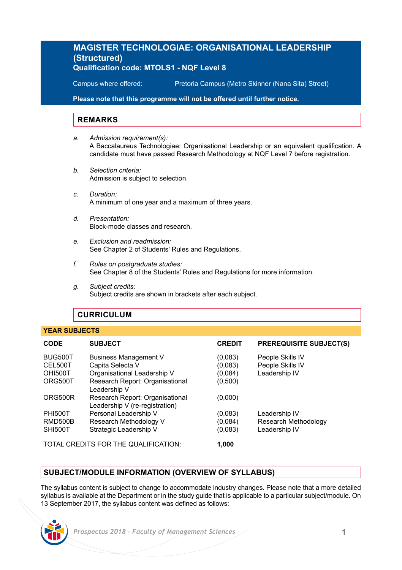# **MAGISTER TECHNOLOGIAE: ORGANISATIONAL LEADERSHIP (Structured) Qualification code: MTOLS1 - NQF Level 8**

Campus where offered: Pretoria Campus (Metro Skinner (Nana Sita) Street)

**Please note that this programme will not be offered until further notice.**

### **REMARKS**

- *a. Admission requirement(s):* A Baccalaureus Technologiae: Organisational Leadership or an equivalent qualification. A candidate must have passed Research Methodology at NQF Level 7 before registration.
- *b. Selection criteria:* Admission is subject to selection.
- *c. Duration:* A minimum of one year and a maximum of three years.
- *d. Presentation:* Block-mode classes and research.
- *e. Exclusion and readmission:* See Chapter 2 of Students' Rules and Regulations.
- *f. Rules on postgraduate studies:* See Chapter 8 of the Students' Rules and Regulations for more information.
- *g. Subject credits:* Subject credits are shown in brackets after each subject.

# **CURRICULUM**

### **YEAR SUBJECTS**

| <b>CODE</b>                          | <b>SUBJECT</b>                                                    | <b>CREDIT</b>      | <b>PREREQUISITE SUBJECT(S)</b>       |
|--------------------------------------|-------------------------------------------------------------------|--------------------|--------------------------------------|
| BUG500T<br>CEL500T                   | Business Management V<br>Capita Selecta V                         | (0,083)<br>(0,083) | People Skills IV<br>People Skills IV |
| OHI500T                              | Organisational Leadership V                                       | (0,084)            | Leadership IV                        |
| ORG500T                              | Research Report: Organisational<br>Leadership V                   | (0,500)            |                                      |
| ORG500R                              | Research Report: Organisational<br>Leadership V (re-registration) | (0,000)            |                                      |
| <b>PHI500T</b>                       | Personal Leadership V                                             | (0,083)            | Leadership IV                        |
| RMD500B                              | Research Methodology V                                            | (0,084)            | Research Methodology                 |
| <b>SHI500T</b>                       | Strategic Leadership V                                            | (0,083)            | Leadership IV                        |
| TOTAL CREDITS FOR THE QUALIFICATION: |                                                                   | 1.000              |                                      |

**SUBJECT/MODULE INFORMATION (OVERVIEW OF SYLLABUS)** 

The syllabus content is subject to change to accommodate industry changes. Please note that a more detailed syllabus is available at the Department or in the study guide that is applicable to a particular subject/module. On 13 September 2017, the syllabus content was defined as follows: